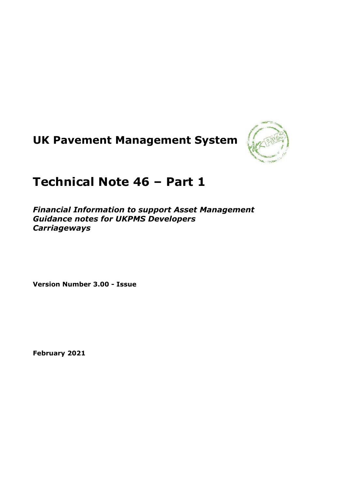# **UK Pavement Management System**



## **Technical Note 46 – Part 1**

*Financial Information to support Asset Management Guidance notes for UKPMS Developers Carriageways*

**Version Number 3.00 - Issue**

**February 2021**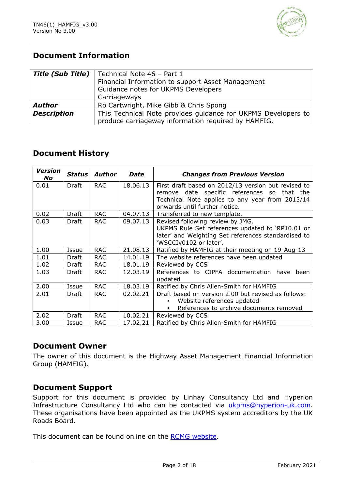

### **Document Information**

| <b>Title (Sub Title)</b> | Technical Note 46 - Part 1                                    |  |  |  |  |  |  |
|--------------------------|---------------------------------------------------------------|--|--|--|--|--|--|
|                          | Financial Information to support Asset Management             |  |  |  |  |  |  |
|                          | Guidance notes for UKPMS Developers                           |  |  |  |  |  |  |
|                          | Carriageways                                                  |  |  |  |  |  |  |
| <b>Author</b>            | Ro Cartwright, Mike Gibb & Chris Spong                        |  |  |  |  |  |  |
| <b>Description</b>       | This Technical Note provides guidance for UKPMS Developers to |  |  |  |  |  |  |
|                          | produce carriageway information required by HAMFIG.           |  |  |  |  |  |  |

### **Document History**

| <b>Version</b><br><b>No</b> | <b>Status</b> | Author     | <b>Date</b> | <b>Changes from Previous Version</b>                                                                                                                                                   |
|-----------------------------|---------------|------------|-------------|----------------------------------------------------------------------------------------------------------------------------------------------------------------------------------------|
| 0.01                        | Draft         | <b>RAC</b> | 18.06.13    | First draft based on 2012/13 version but revised to<br>remove date specific references so that the<br>Technical Note applies to any year from 2013/14<br>onwards until further notice. |
| 0.02                        | Draft         | <b>RAC</b> | 04.07.13    | Transferred to new template.                                                                                                                                                           |
| 0.03                        | Draft         | <b>RAC</b> | 09.07.13    | Revised following review by JMG.<br>UKPMS Rule Set references updated to 'RP10.01 or<br>later' and Weighting Set references standardised to<br>'WSCCIv0102 or later'.                  |
| 1.00                        | Issue         | <b>RAC</b> | 21,08.13    | Ratified by HAMFIG at their meeting on 19-Aug-13                                                                                                                                       |
| 1.01                        | <b>Draft</b>  | <b>RAC</b> | 14.01.19    | The website references have been updated                                                                                                                                               |
| 1.02                        | Draft         | <b>RAC</b> | 18.01.19    | Reviewed by CCS                                                                                                                                                                        |
| 1.03                        | Draft         | <b>RAC</b> | 12.03.19    | References to CIPFA documentation have been<br>updated                                                                                                                                 |
| 2.00                        | Issue         | <b>RAC</b> | 18.03.19    | Ratified by Chris Allen-Smith for HAMFIG                                                                                                                                               |
| 2.01                        | Draft         | <b>RAC</b> | 02.02.21    | Draft based on version 2.00 but revised as follows:<br>Website references updated<br>٠<br>References to archive documents removed                                                      |
| 2.02                        | Draft         | <b>RAC</b> | 10.02.21    | Reviewed by CCS                                                                                                                                                                        |
| 3.00                        | Issue         | <b>RAC</b> | 17.02.21    | Ratified by Chris Allen-Smith for HAMFIG                                                                                                                                               |

#### **Document Owner**

The owner of this document is the Highway Asset Management Financial Information Group (HAMFIG).

#### **Document Support**

Support for this document is provided by Linhay Consultancy Ltd and Hyperion Infrastructure Consultancy Ltd who can be contacted via [ukpms@hyperion-uk.com.](mailto:ukpms@hyperion-uk.com) These organisations have been appointed as the UKPMS system accreditors by the UK Roads Board.

This document can be found online on the [RCMG website.](https://www.ciht.org.uk/ukrlg-home/guidance/road-condition-information/data-management/uk-pavement-management-system-ukpms/)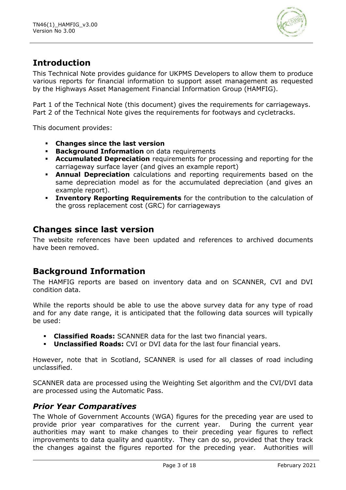

### **Introduction**

This Technical Note provides guidance for UKPMS Developers to allow them to produce various reports for financial information to support asset management as requested by the Highways Asset Management Financial Information Group (HAMFIG).

Part 1 of the Technical Note (this document) gives the requirements for carriageways. Part 2 of the Technical Note gives the requirements for footways and cycletracks.

This document provides:

- **Changes since the last version**
- **Background Information** on data requirements
- **Accumulated Depreciation** requirements for processing and reporting for the carriageway surface layer (and gives an example report)
- **Annual Depreciation** calculations and reporting requirements based on the same depreciation model as for the accumulated depreciation (and gives an example report).
- **Inventory Reporting Requirements** for the contribution to the calculation of the gross replacement cost (GRC) for carriageways

### **Changes since last version**

The website references have been updated and references to archived documents have been removed.

### **Background Information**

The HAMFIG reports are based on inventory data and on SCANNER, CVI and DVI condition data.

While the reports should be able to use the above survey data for any type of road and for any date range, it is anticipated that the following data sources will typically be used:

- **Classified Roads:** SCANNER data for the last two financial years.
- **Unclassified Roads:** CVI or DVI data for the last four financial years.

However, note that in Scotland, SCANNER is used for all classes of road including unclassified.

SCANNER data are processed using the Weighting Set algorithm and the CVI/DVI data are processed using the Automatic Pass.

#### *Prior Year Comparatives*

The Whole of Government Accounts (WGA) figures for the preceding year are used to provide prior year comparatives for the current year. During the current year authorities may want to make changes to their preceding year figures to reflect improvements to data quality and quantity. They can do so, provided that they track the changes against the figures reported for the preceding year. Authorities will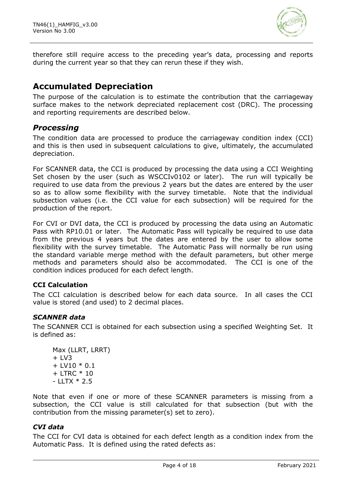

therefore still require access to the preceding year's data, processing and reports during the current year so that they can rerun these if they wish.

### **Accumulated Depreciation**

The purpose of the calculation is to estimate the contribution that the carriageway surface makes to the network depreciated replacement cost (DRC). The processing and reporting requirements are described below.

### *Processing*

The condition data are processed to produce the carriageway condition index (CCI) and this is then used in subsequent calculations to give, ultimately, the accumulated depreciation.

For SCANNER data, the CCI is produced by processing the data using a CCI Weighting Set chosen by the user (such as WSCCIv0102 or later). The run will typically be required to use data from the previous 2 years but the dates are entered by the user so as to allow some flexibility with the survey timetable. Note that the individual subsection values (i.e. the CCI value for each subsection) will be required for the production of the report.

For CVI or DVI data, the CCI is produced by processing the data using an Automatic Pass with RP10.01 or later. The Automatic Pass will typically be required to use data from the previous 4 years but the dates are entered by the user to allow some flexibility with the survey timetable. The Automatic Pass will normally be run using the standard variable merge method with the default parameters, but other merge methods and parameters should also be accommodated. The CCI is one of the condition indices produced for each defect length.

#### **CCI Calculation**

The CCI calculation is described below for each data source. In all cases the CCI value is stored (and used) to 2 decimal places.

#### *SCANNER data*

The SCANNER CCI is obtained for each subsection using a specified Weighting Set. It is defined as:

Max (LLRT, LRRT)  $+$  LV3  $+$  LV10  $*$  0.1 + LTRC \* 10 - LLTX \* 2.5

Note that even if one or more of these SCANNER parameters is missing from a subsection, the CCI value is still calculated for that subsection (but with the contribution from the missing parameter(s) set to zero).

#### *CVI data*

The CCI for CVI data is obtained for each defect length as a condition index from the Automatic Pass. It is defined using the rated defects as: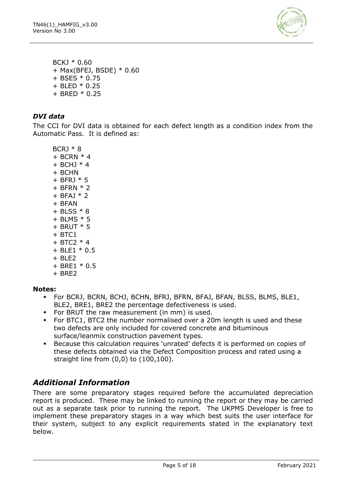

BCKJ \* 0.60 + Max(BFEJ, BSDE) \* 0.60 + BSES \* 0.75 + BLED \* 0.25 + BRED \* 0.25

#### *DVI data*

The CCI for DVI data is obtained for each defect length as a condition index from the Automatic Pass. It is defined as:

 $BCR1 * 8$  $+$  BCRN  $*$  4  $+$  BCHJ  $*$  4 + BCHN  $+$  BFRJ  $*$  5 + BFRN \* 2  $+$  BFAJ  $*$  2 + BFAN + BLSS \* 8  $+$  BLMS  $*$  5  $+$  BRUT  $*$  5  $+$  BTC1 + BTC2 \* 4 + BLE1 \* 0.5 + BLE2 + BRE1 \* 0.5  $+$  BRE2

#### **Notes:**

- For BCRJ, BCRN, BCHJ, BCHN, BFRJ, BFRN, BFAJ, BFAN, BLSS, BLMS, BLE1, BLE2, BRE1, BRE2 the percentage defectiveness is used.
- For BRUT the raw measurement (in mm) is used.
- For BTC1, BTC2 the number normalised over a 20m length is used and these two defects are only included for covered concrete and bituminous surface/leanmix construction pavement types.
- Because this calculation requires 'unrated' defects it is performed on copies of these defects obtained via the Defect Composition process and rated using a straight line from (0,0) to (100,100).

### *Additional Information*

There are some preparatory stages required before the accumulated depreciation report is produced. These may be linked to running the report or they may be carried out as a separate task prior to running the report. The UKPMS Developer is free to implement these preparatory stages in a way which best suits the user interface for their system, subject to any explicit requirements stated in the explanatory text below.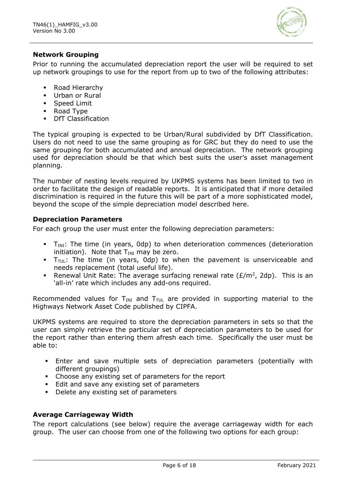

#### **Network Grouping**

Prior to running the accumulated depreciation report the user will be required to set up network groupings to use for the report from up to two of the following attributes:

- Road Hierarchy
- Urban or Rural
- **•** Speed Limit
- Road Type
- DfT Classification

The typical grouping is expected to be Urban/Rural subdivided by DfT Classification. Users do not need to use the same grouping as for GRC but they do need to use the same grouping for both accumulated and annual depreciation. The network grouping used for depreciation should be that which best suits the user's asset management planning.

The number of nesting levels required by UKPMS systems has been limited to two in order to facilitate the design of readable reports. It is anticipated that if more detailed discrimination is required in the future this will be part of a more sophisticated model, beyond the scope of the simple depreciation model described here.

#### **Depreciation Parameters**

For each group the user must enter the following depreciation parameters:

- $T_{\text{INI}}$ : The time (in years, 0dp) to when deterioration commences (deterioration initiation). Note that  $T_{\text{INI}}$  may be zero.
- $\blacksquare$  T<sub>TUL</sub>: The time (in years, 0dp) to when the pavement is unserviceable and needs replacement (total useful life).
- **E** Renewal Unit Rate: The average surfacing renewal rate  $(E/m^2, 2dp)$ . This is an 'all-in' rate which includes any add-ons required.

Recommended values for  $T_{\text{INI}}$  and  $T_{\text{TUL}}$  are provided in supporting material to the Highways Network Asset Code published by CIPFA.

UKPMS systems are required to store the depreciation parameters in sets so that the user can simply retrieve the particular set of depreciation parameters to be used for the report rather than entering them afresh each time. Specifically the user must be able to:

- **Enter and save multiple sets of depreciation parameters (potentially with** different groupings)
- Choose any existing set of parameters for the report
- Edit and save any existing set of parameters
- Delete any existing set of parameters

#### **Average Carriageway Width**

The report calculations (see below) require the average carriageway width for each group. The user can choose from one of the following two options for each group: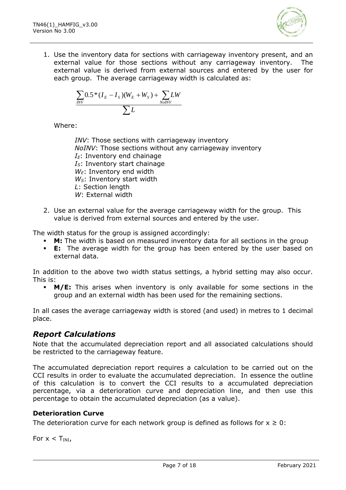

1. Use the inventory data for sections with carriageway inventory present, and an external value for those sections without any carriageway inventory. The external value is derived from external sources and entered by the user for each group. The average carriageway width is calculated as:

$$
\frac{\sum_{\text{INV}} 0.5*(I_{\text{E}} - I_{\text{s}})(W_{\text{E}} + W_{\text{s}}) + \sum_{\text{NolNV}} LW}{\sum L}
$$

Where:

*INV*: Those sections with carriageway inventory *NoINV*: Those sections without any carriageway inventory  $I<sub>E</sub>$ : Inventory end chainage *IS*: Inventory start chainage *WE*: Inventory end width *WS*: Inventory start width *L*: Section length *W*: External width

2. Use an external value for the average carriageway width for the group. This value is derived from external sources and entered by the user.

The width status for the group is assigned accordingly:

- **M:** The width is based on measured inventory data for all sections in the group
- **E:** The average width for the group has been entered by the user based on external data.

In addition to the above two width status settings, a hybrid setting may also occur. This is:

**• M/E:** This arises when inventory is only available for some sections in the group and an external width has been used for the remaining sections.

In all cases the average carriageway width is stored (and used) in metres to 1 decimal place.

### *Report Calculations*

Note that the accumulated depreciation report and all associated calculations should be restricted to the carriageway feature.

The accumulated depreciation report requires a calculation to be carried out on the CCI results in order to evaluate the accumulated depreciation. In essence the outline of this calculation is to convert the CCI results to a accumulated depreciation percentage, via a deterioration curve and depreciation line, and then use this percentage to obtain the accumulated depreciation (as a value).

#### **Deterioration Curve**

The deterioration curve for each network group is defined as follows for  $x \geq 0$ :

For  $x < T_{INI}$ ,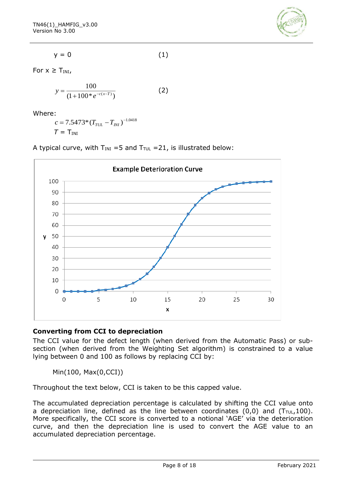

$$
y = 0 \tag{1}
$$

For  $x \geq T_{\text{INI}}$ ,

$$
y = \frac{100}{(1 + 100 \cdot e^{-c(x-T)})}
$$
 (2)

Where:

$$
c = 7.5473 \times (T_{TUL} - T_{INI})^{-1.0418}
$$
  

$$
T = T_{INI}
$$

A typical curve, with  $T_{INI} = 5$  and  $T_{TUL} = 21$ , is illustrated below:



#### **Converting from CCI to depreciation**

The CCI value for the defect length (when derived from the Automatic Pass) or subsection (when derived from the Weighting Set algorithm) is constrained to a value lying between 0 and 100 as follows by replacing CCI by:

Min(100, Max(0,CCI))

Throughout the text below, CCI is taken to be this capped value.

The accumulated depreciation percentage is calculated by shifting the CCI value onto a depreciation line, defined as the line between coordinates  $(0,0)$  and  $(T_{\text{TUL}},100)$ . More specifically, the CCI score is converted to a notional 'AGE' via the deterioration curve, and then the depreciation line is used to convert the AGE value to an accumulated depreciation percentage.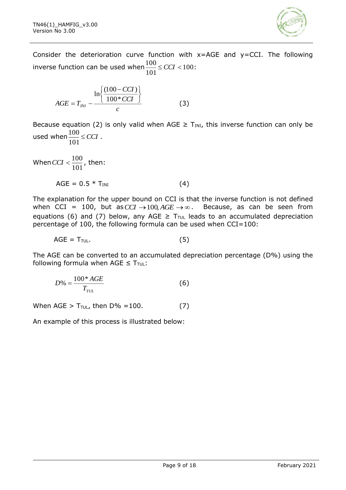

Consider the deterioration curve function with  $x=AGE$  and  $y=CCI$ . The following inverse function can be used when  $\frac{100}{100} \leq CCI < 100$ 101  $\frac{100}{100} \leq CCI < 100$ :

$$
AGE = T_{\text{INI}} - \frac{\ln\left\{\frac{(100 - CCI)}{100 * CCI}\right\}}{c}
$$
 (3)

Because equation (2) is only valid when AGE  $\geq$  T<sub>INI</sub>, this inverse function can only be used when  $\frac{100}{100} \leq CCI$ 101  $\frac{100}{100} \leq CCI$ .

When  $CCI < \frac{100}{101}$  $CCI < \frac{100}{100}$ , then:  $AGE = 0.5 * T_{INI}$  (4)

The explanation for the upper bound on CCI is that the inverse function is not defined when CCI = 100, but as  $CCI \rightarrow 100$ ,  $AGE \rightarrow \infty$ . Because, as can be seen from equations (6) and (7) below, any AGE  $\geq T_{\text{TUL}}$  leads to an accumulated depreciation percentage of 100, the following formula can be used when CCI=100:

$$
AGE = T_{\text{TUL}}.\tag{5}
$$

The AGE can be converted to an accumulated depreciation percentage (D%) using the following formula when AGE  $\leq T_{\text{TUL}}$ :

$$
D\% = \frac{100^* AGE}{T_{TUL}} \tag{6}
$$

When AGE >  $T_{\text{TUL}}$ , then  $D\% = 100$ . (7)

An example of this process is illustrated below: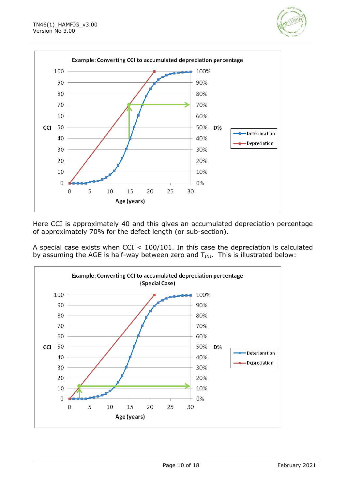



Here CCI is approximately 40 and this gives an accumulated depreciation percentage of approximately 70% for the defect length (or sub-section).

A special case exists when CCI < 100/101. In this case the depreciation is calculated by assuming the AGE is half-way between zero and  $T_{INI}$ . This is illustrated below:

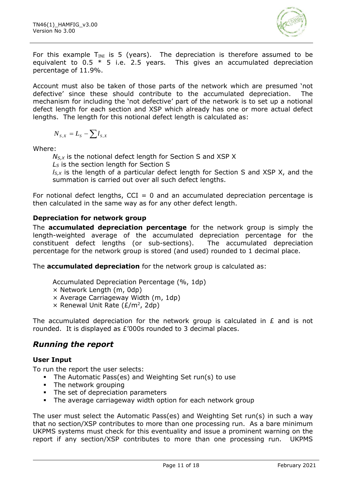

For this example  $T_{INI}$  is 5 (years). The depreciation is therefore assumed to be equivalent to  $0.5 * 5$  i.e. 2.5 years. This gives an accumulated depreciation percentage of 11.9%.

Account must also be taken of those parts of the network which are presumed 'not defective' since these should contribute to the accumulated depreciation. The mechanism for including the 'not defective' part of the network is to set up a notional defect length for each section and XSP which already has one or more actual defect lengths. The length for this notional defect length is calculated as:

$$
N_{s,x} = L_s - \sum l_{s,x}
$$

Where:

*NS,X* is the notional defect length for Section S and XSP X

*L<sup>S</sup>* is the section length for Section S

*lS,X* is the length of a particular defect length for Section S and XSP X, and the summation is carried out over all such defect lengths.

For notional defect lengths,  $CCI = 0$  and an accumulated depreciation percentage is then calculated in the same way as for any other defect length.

#### **Depreciation for network group**

The **accumulated depreciation percentage** for the network group is simply the length-weighted average of the accumulated depreciation percentage for the constituent defect lengths (or sub-sections). The accumulated depreciation percentage for the network group is stored (and used) rounded to 1 decimal place.

The **accumulated depreciation** for the network group is calculated as:

- Accumulated Depreciation Percentage (%, 1dp)
- × Network Length (m, 0dp)
- × Average Carriageway Width (m, 1dp)
- $\times$  Renewal Unit Rate ( $E/m^2$ , 2dp)

The accumulated depreciation for the network group is calculated in  $E$  and is not rounded. It is displayed as £'000s rounded to 3 decimal places.

### *Running the report*

#### **User Input**

To run the report the user selects:

- The Automatic Pass(es) and Weighting Set run(s) to use
- **•** The network grouping
- **•** The set of depreciation parameters
- **•** The average carriageway width option for each network group

The user must select the Automatic Pass(es) and Weighting Set run(s) in such a way that no section/XSP contributes to more than one processing run. As a bare minimum UKPMS systems must check for this eventuality and issue a prominent warning on the report if any section/XSP contributes to more than one processing run. UKPMS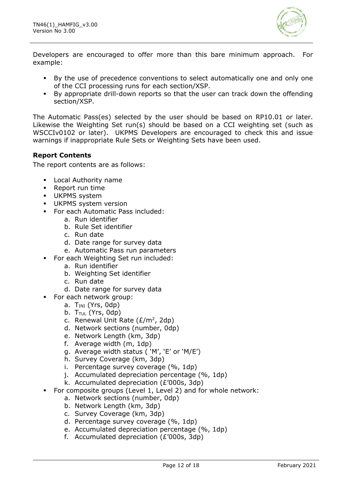

Developers are encouraged to offer more than this bare minimum approach. For example:

- By the use of precedence conventions to select automatically one and only one of the CCI processing runs for each section/XSP.
- By appropriate drill-down reports so that the user can track down the offending section/XSP.

The Automatic Pass(es) selected by the user should be based on RP10.01 or later. Likewise the Weighting Set run(s) should be based on a CCI weighting set (such as WSCCIv0102 or later). UKPMS Developers are encouraged to check this and issue warnings if inappropriate Rule Sets or Weighting Sets have been used.

#### **Report Contents**

The report contents are as follows:

- **Local Authority name**
- Report run time
- UKPMS system
- **·** UKPMS system version
- For each Automatic Pass included:
	- a. Run identifier
	- b. Rule Set identifier
	- c. Run date
	- d. Date range for survey data
	- e. Automatic Pass run parameters
- For each Weighting Set run included:
	- a. Run identifier
	- b. Weighting Set identifier
	- c. Run date
	- d. Date range for survey data
	- For each network group:
		- a.  $T<sub>INI</sub>$  (Yrs, Odp)
		- b.  $T_{\text{TUL}}$  (Yrs, 0dp)
		- c. Renewal Unit Rate  $(E/m^2, 2dp)$
		- d. Network sections (number, 0dp)
		- e. Network Length (km, 3dp)
		- f. Average width (m, 1dp)
		- g. Average width status ( 'M', 'E' or 'M/E')
		- h. Survey Coverage (km, 3dp)
		- i. Percentage survey coverage (%, 1dp)
		- j. Accumulated depreciation percentage (%, 1dp)
		- k. Accumulated depreciation (£'000s, 3dp)
- For composite groups (Level 1, Level 2) and for whole network:
	- a. Network sections (number, 0dp)
	- b. Network Length (km, 3dp)
	- c. Survey Coverage (km, 3dp)
	- d. Percentage survey coverage (%, 1dp)
	- e. Accumulated depreciation percentage (%, 1dp)
	- f. Accumulated depreciation (£'000s, 3dp)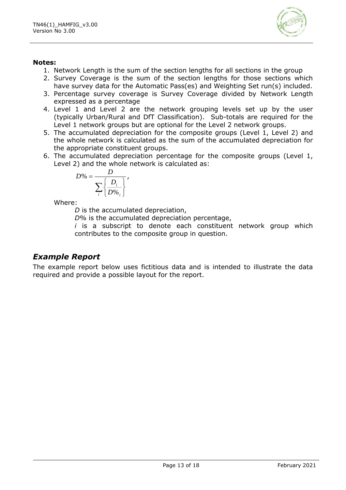

#### **Notes:**

- 1. Network Length is the sum of the section lengths for all sections in the group
- 2. Survey Coverage is the sum of the section lengths for those sections which have survey data for the Automatic Pass(es) and Weighting Set run(s) included.
- 3. Percentage survey coverage is Survey Coverage divided by Network Length expressed as a percentage
- 4. Level 1 and Level 2 are the network grouping levels set up by the user (typically Urban/Rural and DfT Classification). Sub-totals are required for the Level 1 network groups but are optional for the Level 2 network groups.
- 5. The accumulated depreciation for the composite groups (Level 1, Level 2) and the whole network is calculated as the sum of the accumulated depreciation for the appropriate constituent groups.
- 6. The accumulated depreciation percentage for the composite groups (Level 1, Level 2) and the whole network is calculated as:

$$
D\% = \frac{D}{\sum_{i}\left\{\frac{D_i}{D\%}\right\}},
$$

Where:

*D* is the accumulated depreciation,

*D%* is the accumulated depreciation percentage,

*i* is a subscript to denote each constituent network group which contributes to the composite group in question.

### *Example Report*

The example report below uses fictitious data and is intended to illustrate the data required and provide a possible layout for the report.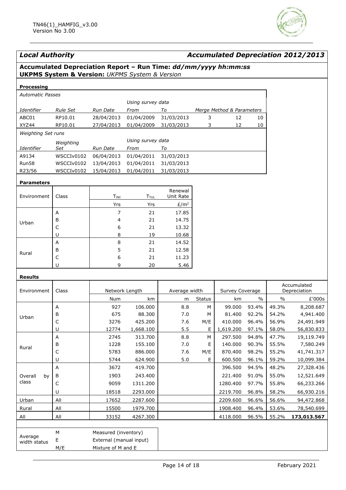

| <b>Local Authority</b><br><b>Accumulated Depreciation 2012/2013</b> |                                                                                                                                  |                         |                   |                  |               |                           |               |               |             |
|---------------------------------------------------------------------|----------------------------------------------------------------------------------------------------------------------------------|-------------------------|-------------------|------------------|---------------|---------------------------|---------------|---------------|-------------|
|                                                                     | Accumulated Depreciation Report - Run Time: dd/mm/yyyy hh:mm:ss<br><b>UKPMS System &amp; Version: UKPMS System &amp; Version</b> |                         |                   |                  |               |                           |               |               |             |
| Processing                                                          |                                                                                                                                  |                         |                   |                  |               |                           |               |               |             |
| <b>Automatic Passes</b>                                             |                                                                                                                                  |                         |                   |                  |               |                           |               |               |             |
|                                                                     |                                                                                                                                  |                         | Using survey data |                  |               |                           |               |               |             |
| Identifier                                                          | <b>Rule Set</b>                                                                                                                  | Run Date                | From              | To               |               | Merge Method & Parameters |               |               |             |
| ABC01                                                               | RP10.01                                                                                                                          | 28/04/2013              | 01/04/2009        | 31/03/2013       | 3             | 12                        | 10            |               |             |
| XYZ44                                                               | RP10.01                                                                                                                          | 27/04/2013              | 01/04/2009        | 31/03/2013       | 3             | 12                        | 10            |               |             |
| Weighting Set runs                                                  |                                                                                                                                  |                         |                   |                  |               |                           |               |               |             |
|                                                                     | Weighting                                                                                                                        |                         | Using survey data |                  |               |                           |               |               |             |
| Identifier                                                          | Set                                                                                                                              | Run Date                | From              | To               |               |                           |               |               |             |
| A9134                                                               | WSCCIv0102                                                                                                                       | 06/04/2013              | 01/04/2011        | 31/03/2013       |               |                           |               |               |             |
| Run58                                                               | WSCCIv0102                                                                                                                       | 13/04/2013              | 01/04/2011        | 31/03/2013       |               |                           |               |               |             |
| R23/56                                                              | WSCCIv0102                                                                                                                       | 15/04/2013              | 01/04/2011        | 31/03/2013       |               |                           |               |               |             |
| <b>Parameters</b>                                                   |                                                                                                                                  |                         |                   |                  |               |                           |               |               |             |
|                                                                     |                                                                                                                                  |                         |                   | Renewal          |               |                           |               |               |             |
| Environment                                                         | Class                                                                                                                            | TINI                    | <b>TTUL</b>       | Unit Rate        |               |                           |               |               |             |
|                                                                     |                                                                                                                                  | Yrs                     | Yrs               | E/m <sup>2</sup> |               |                           |               |               |             |
|                                                                     | Α                                                                                                                                | 7                       | 21                | 17.85            |               |                           |               |               |             |
| Urban                                                               | В                                                                                                                                | 4                       | 21                | 14.75            |               |                           |               |               |             |
|                                                                     | С                                                                                                                                | 6                       | 21                | 13.32            |               |                           |               |               |             |
|                                                                     | U                                                                                                                                | 8                       | 19                | 10.68            |               |                           |               |               |             |
|                                                                     | Α                                                                                                                                | 8                       | 21                | 14.52            |               |                           |               |               |             |
| Rural                                                               | В<br>$\mathsf C$                                                                                                                 | 5<br>6                  | 21<br>21          | 12.58<br>11.23   |               |                           |               |               |             |
|                                                                     | U                                                                                                                                | 9                       | 20                | 5.46             |               |                           |               |               |             |
|                                                                     |                                                                                                                                  |                         |                   |                  |               |                           |               |               |             |
| <b>Results</b>                                                      |                                                                                                                                  |                         |                   |                  |               |                           |               |               | Accumulated |
| Environment                                                         | Class                                                                                                                            | Network Length          |                   | Average width    |               | Survey Coverage           |               | Depreciation  |             |
|                                                                     |                                                                                                                                  | Num                     | km                | m                | <b>Status</b> | km                        | $\frac{0}{0}$ | $\frac{0}{0}$ | £'000s      |
|                                                                     | Α                                                                                                                                | 927                     | 106.000           | 8.8              | М             | 99.000                    | 93.4%         | 49.3%         | 8,208.687   |
| Urban                                                               | в                                                                                                                                | 675                     | 88.300            | 7.0              | M             | 81.400                    | 92.2%         | 54.2%         | 4,941.400   |
|                                                                     | C                                                                                                                                | 3276                    | 425.200           | 7.6              | M/E           | 410.000                   | 96.4%         | 56.9%         | 24,491.949  |
|                                                                     | $\sf U$                                                                                                                          | 12774                   | 1,668.100         | 5.5              | Е             | 1,619.200                 | 97.1%         | 58.0%         | 56,830.833  |
|                                                                     | $\boldsymbol{\mathsf{A}}$                                                                                                        | 2745                    | 313.700           | 8.8              | ${\sf M}$     | 297.500                   | 94.8%         | 47.7%         | 19,119.749  |
| Rural                                                               | В                                                                                                                                | 1228                    | 155.100           | 7.0              | Е             | 140.000                   | 90.3%         | 55.5%         | 7,580.249   |
|                                                                     | $\mathsf C$                                                                                                                      | 5783                    | 886.000           | 7.6              | M/E           | 870.400                   | 98.2%         | 55.2%         | 41,741.317  |
|                                                                     | $\sf U$                                                                                                                          | 5744                    | 624.900           | 5.0              | E.            | 600.500                   | 96.1%         | 59.2%         | 10,099.384  |
|                                                                     | Α                                                                                                                                | 3672                    | 419.700           |                  |               | 396.500                   | 94.5%         | 48.2%         | 27,328.436  |
| Overall<br>by                                                       | В                                                                                                                                | 1903                    | 243.400           |                  |               | 221.400                   | 91.0%         | 55.0%         | 12,521.649  |
| class                                                               | $\mathsf C$                                                                                                                      | 9059                    | 1311.200          |                  |               | 1280.400                  | 97.7%         | 55.8%         | 66,233.266  |
|                                                                     | U                                                                                                                                | 18518                   | 2293.000          |                  |               | 2219.700                  | 96.8%         | 58.2%         | 66,930.216  |
| Urban                                                               | All                                                                                                                              | 17652                   | 2287.600          |                  |               | 2209.600                  | 96.6%         | 56.6%         | 94,472.868  |
| Rural                                                               | All                                                                                                                              | 15500                   | 1979.700          |                  |               | 1908.400                  | 96.4%         | 53.6%         | 78,540.699  |
| All                                                                 | All                                                                                                                              | 33152                   | 4267.300          |                  |               | 4118.000                  | 96.5%         | 55.2%         | 173,013.567 |
|                                                                     |                                                                                                                                  |                         |                   |                  |               |                           |               |               |             |
| Average                                                             | М                                                                                                                                | Measured (inventory)    |                   |                  |               |                           |               |               |             |
| width status                                                        | E                                                                                                                                | External (manual input) |                   |                  |               |                           |               |               |             |
|                                                                     | M/E                                                                                                                              | Mixture of M and E      |                   |                  |               |                           |               |               |             |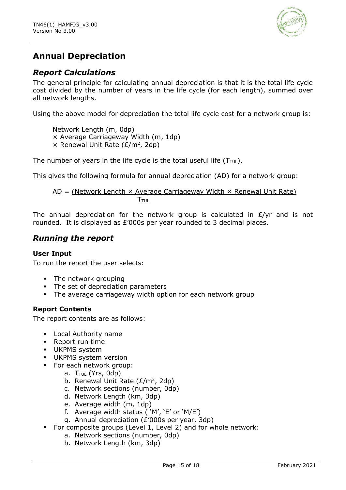

### **Annual Depreciation**

### *Report Calculations*

The general principle for calculating annual depreciation is that it is the total life cycle cost divided by the number of years in the life cycle (for each length), summed over all network lengths.

Using the above model for depreciation the total life cycle cost for a network group is:

Network Length (m, 0dp) × Average Carriageway Width (m, 1dp)  $\times$  Renewal Unit Rate ( $E/m^2$ , 2dp)

The number of years in the life cycle is the total useful life  $(T_{\text{TUL}})$ .

This gives the following formula for annual depreciation (AD) for a network group:

 $AD = (Network Length \times Average Carriageway Width \times Renewal Unit Rate)$  $\mathsf{T}_{\mathsf{TUL}}$ 

The annual depreciation for the network group is calculated in  $E/yr$  and is not rounded. It is displayed as £'000s per year rounded to 3 decimal places.

### *Running the report*

#### **User Input**

To run the report the user selects:

- The network grouping
- The set of depreciation parameters
- **•** The average carriageway width option for each network group

#### **Report Contents**

The report contents are as follows:

- Local Authority name
- Report run time
- UKPMS system
- **·** UKPMS system version
- For each network group:
	- a.  $T_{\text{TUL}}$  (Yrs, 0dp)
	- b. Renewal Unit Rate  $(E/m^2, 2dp)$
	- c. Network sections (number, 0dp)
	- d. Network Length (km, 3dp)
	- e. Average width (m, 1dp)
	- f. Average width status ( 'M', 'E' or 'M/E')
	- g. Annual depreciation (£'000s per year, 3dp)
- For composite groups (Level 1, Level 2) and for whole network:
	- a. Network sections (number, 0dp)
	- b. Network Length (km, 3dp)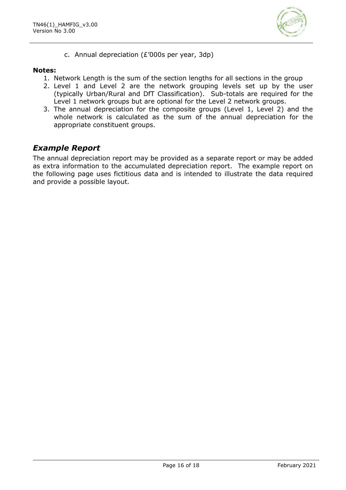

c. Annual depreciation (£'000s per year, 3dp)

#### **Notes:**

- 1. Network Length is the sum of the section lengths for all sections in the group
- 2. Level 1 and Level 2 are the network grouping levels set up by the user (typically Urban/Rural and DfT Classification). Sub-totals are required for the Level 1 network groups but are optional for the Level 2 network groups.
- 3. The annual depreciation for the composite groups (Level 1, Level 2) and the whole network is calculated as the sum of the annual depreciation for the appropriate constituent groups.

#### *Example Report*

The annual depreciation report may be provided as a separate report or may be added as extra information to the accumulated depreciation report. The example report on the following page uses fictitious data and is intended to illustrate the data required and provide a possible layout.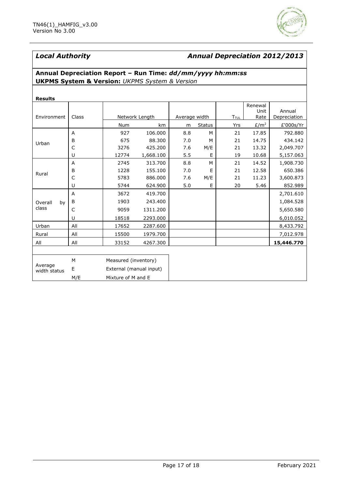

#### *Local Authority Annual Depreciation 2012/2013*

#### **Annual Depreciation Report – Run Time:** *dd/mm/yyyy hh:mm:ss* **UKPMS System & Version:** *UKPMS System & Version*

| <b>Results</b>                                   |              |                         |                |               |               |             |                                          |                        |  |
|--------------------------------------------------|--------------|-------------------------|----------------|---------------|---------------|-------------|------------------------------------------|------------------------|--|
| Environment                                      | Class        |                         | Network Length | Average width |               | <b>TTUL</b> | Renewal<br>Unit<br>Rate                  | Annual<br>Depreciation |  |
|                                                  |              | Num                     | km             | m             | <b>Status</b> | Yrs         | E/m <sup>2</sup>                         | £'000s/Yr              |  |
|                                                  | A            | 927                     | 106.000        | 8.8           | M             | 21          | 17.85                                    | 792.880                |  |
| Urban                                            | B            | 675                     | 88,300         | 7.0           | M             | 21          | 14.75                                    | 434.142                |  |
|                                                  | $\mathsf{C}$ | 3276                    | 425.200        | 7.6           | M/E           | 21          | 13.32                                    | 2,049.707              |  |
|                                                  | U            | 12774                   | 1,668.100      | 5.5           | E             | 19          | 10.68<br>14.52<br>12.58<br>11.23<br>5.46 | 5,157.063              |  |
| Rural                                            | A            | 2745                    | 313.700        | 8.8           | M             | 21          |                                          | 1,908.730              |  |
|                                                  | B            | 1228                    | 155.100        | 7.0           | E             | 21          |                                          | 650.386                |  |
|                                                  | C            | 5783                    | 886.000        | 7.6           | M/E           | 21          |                                          | 3,600.873              |  |
|                                                  | U            | 5744                    | 624.900        | 5.0           | E             | 20          |                                          | 852.989                |  |
|                                                  | A            | 3672                    | 419.700        |               |               |             |                                          | 2,701.610              |  |
| Overall<br>by                                    | B            | 1903                    | 243.400        |               |               |             |                                          | 1,084.528              |  |
| class                                            | C            | 9059                    | 1311.200       |               |               |             |                                          | 5,650.580              |  |
| Urban<br>Rural<br>All<br>Average<br>width status | U            | 18518                   | 2293.000       |               |               |             |                                          | 6,010.052              |  |
|                                                  | All          | 17652                   | 2287.600       |               |               |             |                                          | 8,433.792              |  |
|                                                  | All          | 15500                   | 1979.700       |               |               |             |                                          | 7,012.978              |  |
|                                                  | All          | 33152                   | 4267.300       |               |               |             |                                          | 15,446.770             |  |
|                                                  |              |                         |                |               |               |             |                                          |                        |  |
|                                                  | M            | Measured (inventory)    |                |               |               |             |                                          |                        |  |
|                                                  | Ε            | External (manual input) |                |               |               |             |                                          |                        |  |
|                                                  | M/E          | Mixture of M and E      |                |               |               |             |                                          |                        |  |